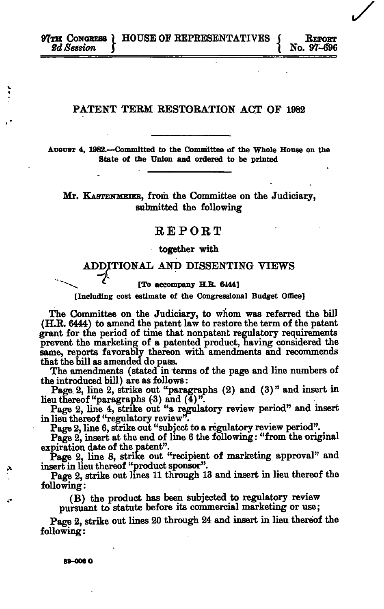## PATENT TERM RESTORATION ACT OF 1982

**AUGUST 4, 1982.—Committed to the Committee of the Whole House on the State of the Union and ordered to be printed** 

Mr. KASTENMEIER, from the Committee on the Judiciary, submitted the following

## REPORT

## together with

# ADDITIONAL AND DISSENTING VIEWS

**^--^ \* [To accompany H.B. 6444]** 

**[Including cost estimate of the Congressional Budget Office]** 

The Committee on the Judiciary, to whom was referred the bill (H.R. 6444) to amend the patent law to restore the term of the patent grant for the period of time that nonpatent regulatory requirements prevent the marketing of a patented product, having considered the same, reports favorably thereon with amendments and recommends that the bill as amended do pass.

The amendments (stated in terms of the page and line numbers of the introduced bill) are as follows:

Page. 2, line 2, strike out "paragraphs (2) and (3)" and insert in lieu thereof "paragraphs  $(3)$  and  $(4)$ "

Page 2, line 4, strike out "a regulatory review period" and insert in lieu thereof "regulatory review".

Page 2, line 6, strike out "subject to a regulatory review period".

Page 2, insert at the end of line 6 the following: "from the original expiration date of the patent".

Page 2, line 8, strike out "recipient of marketing approval" and insert in lieu thereof "product sponsor".

Page 2, strike out lines 11 through 13 and insert in lieu thereof the following:

(B) the product has been subjected to regulatory review

pursuant to statute before its commercial marketing or use;

Page 2, strike out lines 20 through 24 and insert in lieu thereof the following: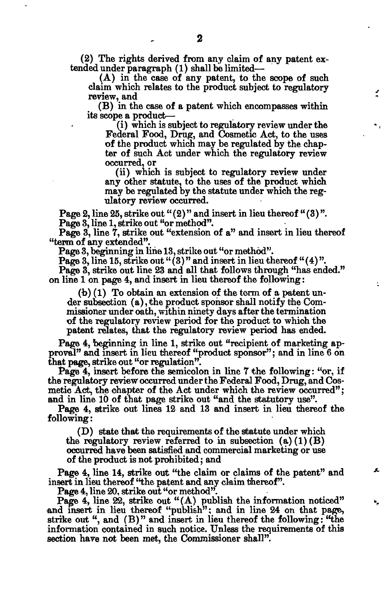(2) The rights derived from any claim of any patent extended under paragraph (1) shall be limited—

(A) in the case of any patent, to the scope of such claim which relates to the product subject to regulatory review, and

(B) in the case of a patent which encompasses within its scope a product—

(i) which is subject to regulatory review under the Federal Food, Drug, and Cosmetic Act, to the uses of the product which may be regulated by the chapter of such Act under which the regulatory review occurred, or

(ii) which is subject to regulatory review under any other statute, to the uses of the product which may be regulated by the statute under which the regulatory review occurred.

 $\ddot{\phantom{a}}$ 

Page 2, line 25, strike out " $(2)$ " and insert in lieu thereof " $(3)$ ". Page 3, line 1, strike out "or method".

Page 3, line 7, strike out "extension of a" and insert in lieu thereof "term of any extended".

Page 3, beginning in line 13, strike out "or method".

Page 3, line 15, strike out " $(3)$ " and insert in lieu thereof " $(4)$ ".

Page 3, strike out line 23 and all that follows through "has ended." on line 1 on page 4, and insert in lieu thereof the following:

(b) (1) To obtain an extension of the term of a patent under subsection (a), the product sponsor shall notify the Commissioner under oath, within ninety days after the termination of the regulatory review period for the product to which the patent relates, that the regulatory review period has ended.

Page 4, beginning in line 1, strike out "recipient of marketing approval" and insert in lieu thereof "product sponsor"; and in line 6 on that page, strike out "or regulation".

Page 4, insert before the semicolon in line 7 the following: "or, if the regulatory review occurred under the Federal Food, Drug, and Cosmetic Act, the chapter of the Act under which the review occurred"; and in line 10 of that page strike out "and the statutory use".

Page 4, strike out lines 12 and 13 and insert in lieu thereof the following:

(D) state that the requirements of the statute under which the regulatory review referred to in subsection  $(a)(1)(B)$ occurred have been satisfied and commercial marketing or use of the product is not prohibited; and

Page 4, line 14, strike out "the claim or claims of the patent" and insert in lieu thereof "the patent and any claim thereof".

Page 4, line 20, strike out "or method".

Page 4, line  $22$ , strike out " $(A)$  publish the information noticed" and insert in lieu thereof "publish"; and in line 24 on that page, strike out ", and  $(B)$ " and insert in lieu thereof the following: "the information contained in such notice. Unless the requirements of this section have not been met, the Commissioner shall".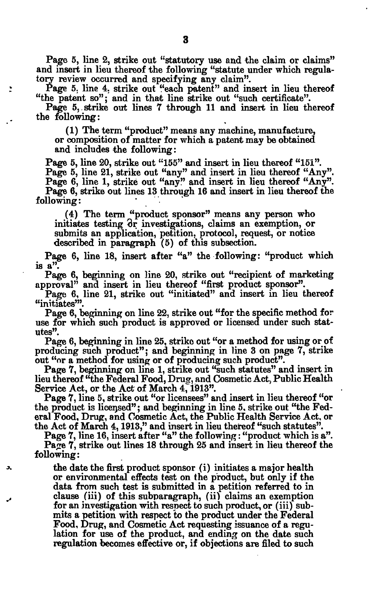Page 5, line 2, strike out "statutory use and the claim or claims" and insert in lieu thereof the following "statute under which regulatory review occurred and specifying any claim".

Page 5, line 4, strike out "each patent" and insert in lieu thereof "the patent so"; and in that line strike out "such certificate".

Page 5, strike out lines 7 through 11 and insert in lieu thereof the following:

(1) The term "product" means any machine, manufacture, or composition of matter for which a patent may be obtained and includes the following:

Page 5, line 20, strike out "155" and insert in lieu thereof "151". Page 5, line 21, strike out "any" and insert in lieu thereof "Any". Page 6, line 1, strike out "any?' and insert in lieu thereof "Any". Page 6, strike out lines 13 through 16 and insert in lieu thereof the following:

(4) The term "product sponsor" means any person who initiates testing 3r investigations, claims an exemption, or submits an application, petition, protocol, request, or notice described in paragraph (5) of this subsection.

Page 6, line 18, insert after "a" the following: "product which is  $a''$ .

Page 6, beginning on line 20, strike out "recipient of marketing approval" and insert in lieu thereof "first product sponsor".

Page 6, line 21, strike out "initiated" and insert in lieu thereof "initiates'".

Page 6, beginning on line 22, strike out "for the specific method for use for which such product is approved or licensed under such statutes".

Page 6, beginning in line 25, strike out "or a method for using or of producing such product"; and beginning in line 3 on page 7, strike out "or a method for using or of producing such product".

Page 7, beginning on line 1, strike out "such statutes" and insert in lieu thereof "the Federal Food, Drug, and Cosmetic Act, Public Health Service Act, or the Act of March 4, 1913".

Page 7, line 5, strike out "or licensees" and insert in lieu thereof "or the product is licensed"; and beginning in line 5, strike out "the Federal Food, Drug, and Cosmetic Act, the Public Health Service Act, or the Act of March 4,1913," and insert in lieu thereof "such statutes".

Page 7, line 16, insert after "a" the following: "product which is a". Page 7, strike out lines 18 through 25 and insert in lieu thereof the following:

^ the date the first product sponsor (i) initiates a major health or environmental effects test on the product, but only if the data from such test is submitted in a petition referred to in \_, clause (iii) of this subparagraph, (ii) claims an exemption for an investigation with respect to such product, or (iii) submits a petition with respect to the product under the Federal Food, Drug, and Cosmetic Act requesting issuance of a regulation for use of the product, and ending on the date such regulation becomes effective or, if objections are filed to such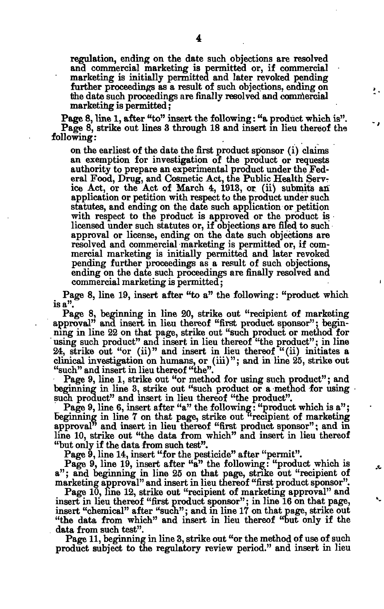regulation, ending on the date such objections are resolved and commercial marketing is permitted or, if commercial marketing is initially permitted and later revoked pending further proceedings as a result of such objections, ending on the date such proceedings are finally resolved and commercial marketing is permitted;

٠.

x,

Page 8, line 1, after "to" insert the following: "a product which is". Page 8, strike out lines 3 through 18 and insert in lieu thereof the following:

on the earliest of the date the first product sponsor (i) claims an exemption for investigation of the product or requests authority to prepare an experimental product under the Federal Food, Drug, and Cosmetic Act, the Public Health Service Act, or the Act of March 4, 1913, or (ii) submits an application or petition with respect to the product under such statutes, and ending on the date such application or petition with respect to the product is approved or the product is licensed under such statutes or, if objections are filed to such approval or license, ending on the date such objections are resolved and commercial marketing is permitted or, if commercial marketing is initially permitted and later revoked pending further proceedings as a result of such objections, ending on the date such proceedings are finally resolved and commercial marketing is permitted;

Page 8, line 19, insert after "to a" the following: "product which is a".

Page 8, beginning in line 20, strike out "recipient of marketing approval" and insert in lieu thereof "first product sponsor"; beginning in line 22 on that page, strike out "such product or method for using such product" and insert in lieu thereof "the product"; in line 24, strike out "or (ii)" and insert in lieu thereof  $(ii)$  initiates a clinical investigation on humans, or (iii)"; and in line 25, strike out "such" and insert in lieu thereof "the".

Page 9, line 1, strike out "or method for using such product"; and beginning in line 3, strike out "such product or a method for using such product" and insert in lieu thereof "the product".

Page 9, line 6, insert after "a" the following: "product which is a"; beginning in line 7 on that page, strike out  $\alpha$  recipient of marketing approval<sup>7</sup> and insert in lieu thereof "first product sponsor"; and in line 10, strike out "the data from which" and insert in lieu thereof "but only if the data from such test".

Page  $\check{9}$ , line 14, insert "for the pesticide" after "permit".

Page 9, line 19, insert after "a" the following: "product which is a"; and beginning in line 25 on that page, strike out "recipient of marketing approval" and insert in lieu thereof "first product sponsor".

Page 10, line 12, strike out "recipient of marketing approval" and insert in lieu thereof "first product sponsor"; in line 16 on that page, insert "chemical" after "such"; and in line 17 on that page, strike out "the data from which" and insert in lieu thereof "but only if the data from such test".

Page 11, beginning in line 3, strike out "or the method of use of such product subject to the regulatory review period." and insert in lieu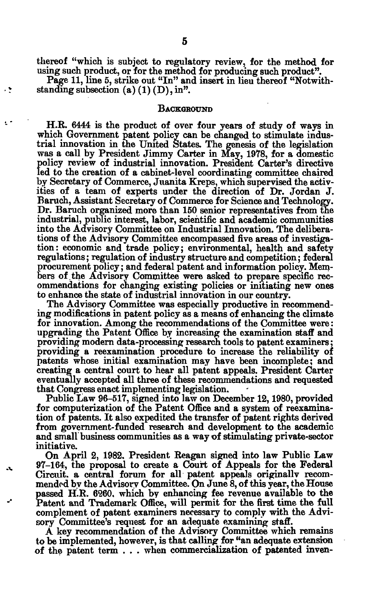thereof "which is subject to regulatory review, for the method for using such product, or for the method for producing such product".

Page 11, line 5, strike out "In" and insert in lieu thereof "Notwithstanding subsection  $(a)$   $(1)$   $(D)$ , in".

۰ź

## **BACKGROUND**

H.R. 6444 is the product of over four years of study of ways in which Government patent policy can be changed to stimulate industrial innovation in the United States. The genesis of the legislation was a call by President Jimmy Carter in May, 1978, for a domestic policy review of industrial innovation. President Carter's directive led to the creation of a cabinet-level coordinating committee chaired by Secretary of Commerce, Juanita Kreps, which supervised the activities of a team of experts under the direction of Dr. Jordan J. Baruch, Assistant Secretary of Commerce for Science and Technology. Dr. Baruch organized more than 150 senior representatives from the industrial, public interest, labor, scientific and academic communities into the Advisory Committee on Industrial Innovation. The deliberations of the Advisory Committee encompassed five areas of investigation: economic and trade policy; environmental, health and safety regulations; regulation of industry structure and competition; federal procurement policy; and federal patent and information policy. Members of the Advisory Committee were asked to prepare specific recommendations for changing existing policies or initiating new ones to enhance the state of industrial innovation in our country.

The Advisory Committee was especially productive in recommending modifications in patent policy as a means of enhancing the climate for innovation. Among the recommendations of the Committee were: upgrading the Patent Office by increasing the examination staff and providing modern data-processing research tools to patent examiners; providing a reexamination procedure to increase the reliability of patents whose initial examination may have been incomplete; and creating a central court to hear all patent appeals. President Carter eventually accepted all three of these recommendations and requested that Congress enact implementing legislation.

Public Law 96-517, signed into law on December 12,1980, provided for computerization of the Patent Office and a system of reexamination of patents. It also expedited the transfer of patent rights derived from government-funded research and development to the academic and small business communities as a way of stimulating private-sector initiative.

On April 2, 1982. President Reagan signed into law Public Law 97-164, the proposal to create a Court of Appeals for the Federal Circuit, a central forum for all patent appeals originallv recommended by the Advisory Committee. On June 8, of this year, the House passed H.R. 6260. which by enhancing fee revenue available to the Patent and Trademark Office, will permit for the first time the full complement of patent examiners necessary to comply with the Advisory Committee's request for an adequate examining staff.

A key recommendation of the Advisory Committee which remains to be implemented, however, is that calling for "an adequate extension of the patent term . . . when commercialization of patented inven-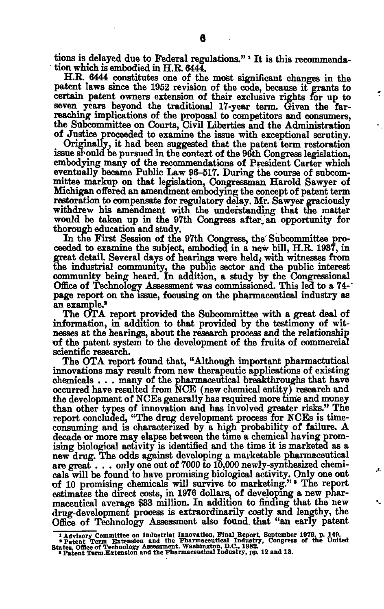tions is delayed due to Federal regulations."*<sup>1</sup>* It is this recommendation which is embodied in H.R.  $644\overline{4}$ .

H.R. 6444 constitutes one of the most significant changes in the patent laws since the 1952 revision of the code, because it grants to certain patent owners extension of their exclusive rights for up to seven years beyond the traditional 17-year term. Given the farreaching implications of the proposal to competitors and consumers, the Subcommittee on Courts, Civil Liberties and the Administration of Justice proceeded to examine the issue with exceptional scrutiny.

Originally, it had been suggested that the patent term restoration issue should be pursued in the context of the 96th Congress legislation, embodying many of the recommendations of President Carter which eventually became Public Law 96-517. During the course of subcommittee markup on that legislation, Congressman Harold Sawyer of Michigan offered an amendment embodying the concept of patent term restoration to compensate for regulatory delay. Mr. Sawyer graciously withdrew his amendment with the understanding that the matter would be taken up in the 97th Congress after an opportunity for thorough education and study.

In the First Session of the 97th Congress, the Subcommittee proceeded to examine the subject, embodied in a new bill, H.E. 1937, in great detail. Several days of hearings were held, with witnesses from the industrial commumty, the public sector and the public interest community being heard. In addition, a study by the Congressional Office of Technology Assessment was commissioned. This led to a 74-' page report on the issue, focusing on the pharmaceutical industry as an example.\*

The **OTA** report provided the Subcommittee with a great deal of information, in addition to that provided by the testimony of witnesses at the hearings, about the research process and the relationship of the patent system to the development of the fruits of commercial scientific research.

The OTA report found that, "Although important pharmactutical innovations may result from new therapeutic applications of existing chemicals . . . many of the pharmaceutical breakthroughs that have occurred have resulted from NCE (new chemical entity) research and the development of NCEs generally has required more time and money than other types of innovation and has involved greater risks." The report concluded, "The drug development process for NCEs is timeconsuming and is characterized by a high probability of failure. A decade or more may elapse between the time a chemical having promising biological activity is identified and the time it is marketed as a new drug. The odds against developing a marketable pharmaceutical are great  $\ldots$  only one out of 7000 to 10,000 newly-synthesized chemicals will be found to have promising biological activity. Only one out of 10 promising chemicals will survive to marketing."<sup>s</sup> The report estimates the direct costs, in 1976 dollars, of developing a new pharmaceutical average \$33 million. In addition to finding that the new drug-development process is extraordinarily costly and lengthy, the Office of Technology Assessment also found that "an early patent

**<sup>\*</sup> Advisory Committee on Industrial Innovation, Final Report, September 1979, p. 149. •Patent Term Extension and the Pharmaceutical Industry, Congress of the United** 

**States. Office of Technology Assessment. Washington, D.C., 1982. • Patent Term Extension and the Pharmaceutical Industry, pp. 12 and 13.**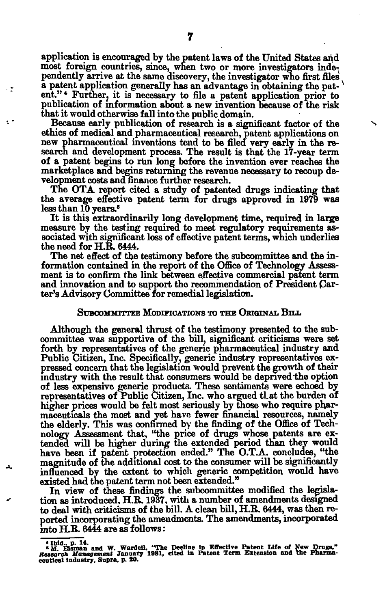application is encouraged by the patent laws of the United States and most foreign countries, since, when two or more investigators independently arrive at the same discovery, the investigator who first files a patent application generally has an advantage in obtaining the patent."\* Further, it is necessary to file a patent application prior to publication of information about a new invention because of the risk that it would otherwise fall into the public domain.

Because early publication of research is a significant factor of the ethics of medical and pharmaceutical research, patent applications on new pharmaceutical inventions tend to be filed very early in the research and development process. The result is that the 17-year term of a patent begins to run long before the invention ever reaches the marketplace and begins returning the revenue necessary to recoup development costs and finance further research.

The OTA report cited a study of patented drugs indicating that the average effective patent term for drugs approved in 1979 was less than 10 years.<sup>5</sup>

It is this extraordinarily long development time, required in large measure by the testing required to meet regulatory requirements associated with significant loss of effective patent terms, which underlies the need for H.R. 6444.

The net effect of the testimony before the subcommittee and the information contained in the report of the Office of Technology Assessment is to confirm the link between effective commercial patent term and innovation and to support the recommendation of President Carter's Advisory Committee for remedial legislation.

#### SUBCOMMITTEE MODIFICATIONS TO THE ORIGINAL BILL

Although the general thrust of the testimony presented to the subcommittee was supportive of the bill, significant criticisms were set forth by representatives of the generic pharmaceutical industry and Public Citizen, Inc. Specifically, generic industry representatives expressed concern that the legislation would prevent the growth of their industry with the result that consumers would be deprived the option of less expensive generic products. These sentiments were echoed by representatives of Public Citizen, Inc. who argued tl.at the burden of higher prices would be felt most seriously by those who require pharmaceuticals the most and yet have fewer financial resources, namely the elderly. This was confirmed by the finding of the Office of Technology Assessment that, "the price of drugs whose patents are extended will be higher during the extended period than they would have been if patent protection ended." The O.T.A. concludes, "the magnitude of the additional cost to the consumer will be significantly influenced by the extent to which generic competition would have existed had the patent term not been extended."

In view of these findings the subcommittee modified the legislation as introduced, ELR. 1937, with a number of amendments designed to deal with criticisms of the bill. A clean bill, H.R. 6444, was then reported incorporating the amendments. The amendments, incorporated into H.R. 6444 are as follows:

- 2

**<sup>\*</sup> M Eisman' and W. WardeU. "The Dedine In Effective Patent Life of New Drags,"**  *Research Management* **January 1981, cited In Patent Term Extension and the Pharma-ceutical industry. Supra, p. 20.**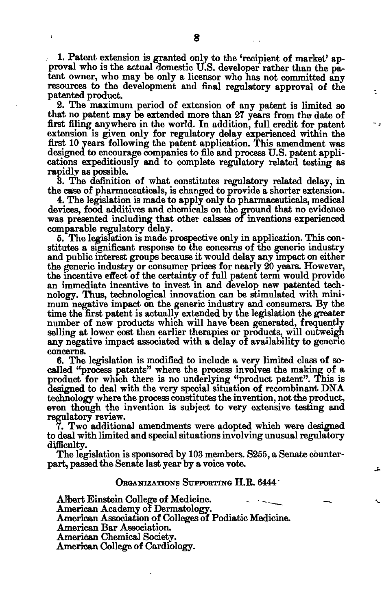1. Patent extension is granted only to the 'recipient of market' approval who is the actual domestic U.S. developer rather than the patent owner, who may be only a licensor who has not committed any resources to the development and final regulatory approval of the patented product.

÷

2. The maximum period of extension of any patent is limited so that no patent may be extended more than 27 years from the date of first filing anywhere in the world. In addition, full credit for patent extension is given only for regulatory delay experienced within the first 10 years following the patent application. This amendment was designed to encourage companies to file and process U.S. patent applications expeditiously and to complete regulatory related testing as rapidly as possible.

3. The definition of what constitutes regulatory related delay, in the case of pharmaceuticals, is changed to provide a shorter extension.

4. The legislation is made to apply only to pharmaceuticals, medical devices, food additives and chemicals on the ground that no evidence was presented including that other calsses of inventions experienced comparable regulatory delay.

5. The legislation is made prospective only in application. This constitutes a significant response to the concerns of the generic industry and public interest groups because it would delay any impact on either the generic industry or consumer prices for nearly 20 years. However, the incentive effect of the certainty of full patent term would provide an immediate incentive to invest in and develop new patented technology. Thus, technological innovation can be stimulated with minimum negative impact, on the generic industry and consumers. By the time the first patent is actually extended by the legislation the greater number of new products which will have been generated, frequently selling at lower cost then earlier therapies or products, will outweigh any negative impact associated with a delay of availability to generic concerns.

6. The legislation is modified to include a very limited class of socalled "process patents" where the process involves the making of a product for which there is no underlying "product patent". This is designed to deal with the very special situation of recombinant DNA technology where the process constitutes the invention, not the product, even though the invention is subject to very extensive testing and regulatory review.

7. Two additional amendments were adopted which were designed to deal with limited and special situations involving unusual regulatory difficulty.

The legislation is sponsored by 103 members. S255, a Senate counterpart, passed the Senate last year by a voice vote.

## ORGANIZATIONS SUPPORTING H.R. 6444

Albert Einstein College of Medicine. American Academy of Dermatology. American Association of Colleges of Podiatic Medicine. American Bar Association. American Chemical Society. American College of Cardiology.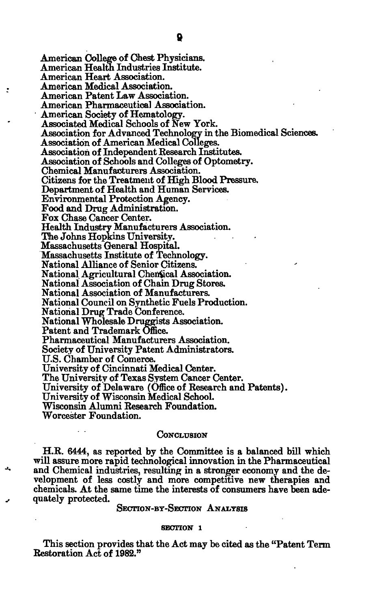$\ddot{z}$ 

American College of Chest Physicians. American Health Industries Institute. American Heart Association. American Medical Association. American Patent Law Association. American Pharmaceutical Association. American Society of Hematology. Associated Medical Schools of New York. Association for Advanced Technology in the Biomedical Sciences. Association of American Medical Colleges. Association of Independent Research Institutes. Association of Schools and Colleges of Optometry. Chemical Manufacturers Association. Citizens for the Treatment of High Blood Pressure. Department of Health and Human Services. Environmental Protection Agency. Food and Drug Administration. Fox Chase Cancer Center. Health Industry Manufacturers Association. The Johns Hopkins University. Massachusetts General Hospital. Massachusetts Institute of Technology. National Alliance of Senior Citizens. National Agricultural Chenical Association. National Association of Chain Drug Stores. National Association of Manufacturers. National Council on Synthetic Fuels Production. National Drug Trade Conference. National Wholesale Druggists Association. Patent and Trademark Office. Pharmaceutical Manufacturers Association. Society of University Patent Administrators. U.S. Chamber of Comerce. University of Cincinnati Medical Center. The University of Texas System Cancer Center. University of Delaware (Office of Research and Patents). University of Wisconsin Medical School. Wisconsin Alumni Research Foundation. Worcester Foundation.

#### **CONCLUSION**

H.R. 6444, as reported by the Committee is a balanced bill which will assure more rapid technological innovation in the Pharmaceutical and Chemical industries, resulting in a stronger economy and the development of less costly and more competitive new therapies and chemicals. At the same time the interests of consumers have been adequately protected.

## SECTION-BY-SECTION ANALYSIS

#### **SECTION 1**

This section provides that the Act may be cited as the "Patent Term Restoration Act of 1982."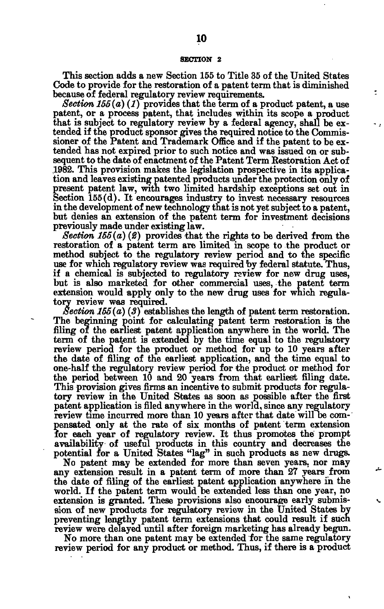#### **SECTION 2**

This section adds a new Section 155 to Title 35 of the United States Code to provide for the restoration of a patent term that is diminished because of federal regulatory review requirements.

 $\overline{\phantom{a}}$ 

*Section 155(a) (1)* provides that the term of a product patent, a use patent, or a process patent, that includes within its scope a product that is subject to regulatory review by a federal agency, shall be extended if the product sponsor gives the required notice to the Commissioner of the Patent and Trademark Office and if the patent to be extended has not expired prior to such notice and was issued on or subsequent to the date of enactment of the Patent Term Restoration Act of .1982. This provision makes the legislation prospective in its application and leaves existing patented products under the protection only of present patent law, with two limited hardship exceptions set out in Section 155(d). It encourages industry to invest necessary resources in the development of new technology that is not yet subject to a patent, but denies an extension of the patent term for investment decisions previously made under existing law.

*Section 155(a) (2)* provides that the rights to be derived from the restoration of a patent term are limited in scope to the product or method subject to the regulatory review period and to the specific use for which regulatory review was required by federal statute. Thus, if a chemical is subjected to regulatory review for new drug uses, but is also marketed for other commercial uses, the patent term extension would apply only to the new drug uses for which regulatory review was required.

*Section 155(a) (3)* establishes the length of patent term restoration. The beginning point for calculating patent term restoration is the filing of the earliest patent application anywhere in the world. The term of the patent is extended by the time equal to the regulatory review period for the product or method for up to 10 years after the date of filing of the earliest application, and the time equal to one-half the regulatory review period for the product or method for the period between 10 and 20 years from that earliest filing date. This provision gives firms an incentive to submit products for regulatory review in the United States as soon as possible after the first patent application is filed anywhere in the world, since any regulatory review time incurred more than 10 years after that date will be compensated only at the rate of six months of patent term extension for each year of regulatory review. It thus promotes the prompt availability of useful products in this country and decreases the potential for a United States "lag" in such products as new drugs.

No patent may be extended for more than seven years, nor may any extension result in a patent term of more than 27 years from the date of filing of the earliest patent application anywhere in the world. If the patent term would be extended less than one year, no extension is granted. These provisions also encourage early submission of new products for regulatory review in the United States by preventing lengthy patent term extensions that could result if such review were delayed until after foreign marketing has already begun.

No more than one patent may be extended for the same regulatory review period for any product or method. Thus, if there is a product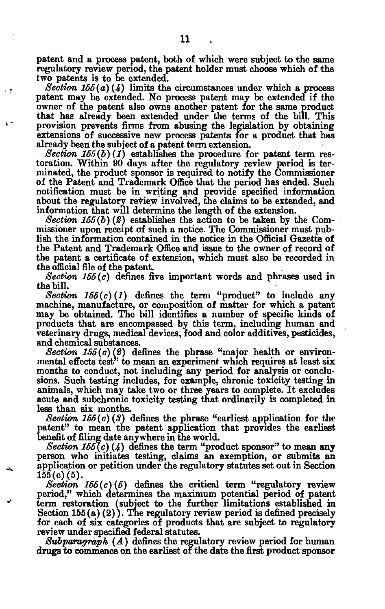patent and a process patent, both of which were subject to the same regulatory review period, the patent holder must choose which of the two patents is to be extended.

- 2

*/Section 155(a) (4)* limits the circumstances under which a process patent may be extended. No process patent may be extended if the owner of the patent also owns another patent for the same product that has already been extended under the terms of the bill. This provision prevents firms from abusing the legislation by obtaining extensions of successive new process patents for a product that has already been the subject of a patent term extension.

*Section*  $155(b)(1)$  establishes the procedure for patent term restoration. Within 90 days after the regulatory review period is terminated, the product sponsor is required to notify the Commissioner of the Patent and Trademark Office that the period has ended. Such notification must be in writing and provide specified information about the regulatory review involved, the claims to be extended, and information that will determine the length of the extension.

*Section 155(b) (2)* establishes the action to be taken by the Commissioner upon receipt of such a notice. The Commissioner must publish the information contained in the notice in the Official Gazette of the Patent and Trademark Office and issue to the owner of record of the patent a certificate of extension, which must also be recorded in the official file of the patent.

*Section 165(c)* defines five important words and phrases used in the bill.

*Section*  $155(c)(1)$  defines the term "product" to include any machine, manufacture, or composition of matter for which a patent may be obtained. The bill identifies a number of specific kinds of products that are encompassed by this term, including human and veterinary drugs, medical devices, food and color additives, pesticides, and chemical substances.

*Section 165(c)(2)* defines the phrase "major health or environmental effects test" to mean an experiment which requires at least six months to conduct, not including any period for analysis or conclusions. Such testing includes, for example, chronic toxicity testing in animals, which may take two or three years to complete. It excludes acute and subchronic toxicity testing that ordinarily is completed in less than six months.

*Section 155(c) (3)* defines the phrase "earliest application for the patent" to mean the patent application that provides the earliest benefit of filing date anywhere in the world.

*Section 155(c) (4)* defines the term "product sponsor" to mean any person who initiates testing, claims an exemption, or submits an application or petition under the regulatory statutes set out in Section  $155(c)(5)$ .

*Section 156(c) (5)* defines the critical term "regulatory review period," which determines the maximum potential period of patent term restoration (subject to the further limitations established in Section  $155(a)(2)$ ). The regulatory review period is defined precisely for each of six categories of products that are subject to regulatory review under specified federal statutes.

*Subparagraph (A)* defines the regulatory review period for human drugs to commence on the earliest of the date the first product sponsor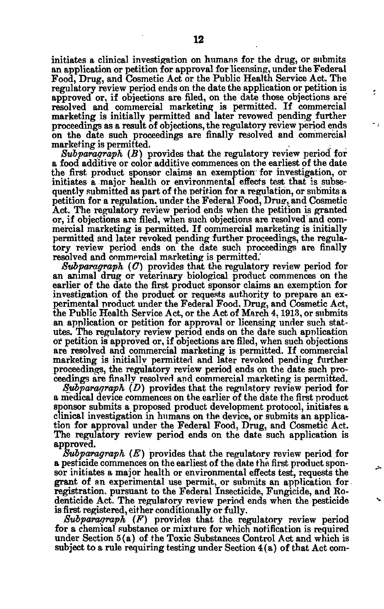initiates a clinical investigation on humans for the drug, or submits an application or petition for approval for licensing, under the Federal Food, Drug, and Cosmetic Act or the Public Health Service Act. The regulatory review period ends on the date the application or petition is approved or, if objections are filed, on the date those objections are resolved and commercial marketing is permitted. If commercial marketing is initially permitted and later revowed pending further proceedings as a result of objections, the regulatory review period ends on the date such proceedings are finally resolved and commercial marketing is permitted.

÷

*Subparagraph (B)* provides that the regulatory review period for a food additive or color additive commences on the earliest of the date the first product sponsor claims an exemption for investigation, or initiates a major health or environmental effects test that is subsequently submitted as part of the petition for a regulation, or submits a petition for a regulation, under the Federal Food, Drug, and Cosmetic Act. The regulatory review period ends when the petition is granted or, if objections are filed, when such objections are resolved and commercial marketing is permitted. If commercial marketing is initially permitted and later revoked pending further proceedings, the regulatory review period ends on the date such proceedings are finally resolved and commercial marketing is permitted.'

*Subparagraph (O)* provides that the regulatory review period for an animal drug or veterinary biological product commences on the earlier of the date the first product sponsor claims an exemption for investigation of the product or requests authority to prepare an experimental product under the Federal Food, Drug, and Cosmetic Act, the Public Health Service Act, or the Act of March 4,1913, or submits an application or petition for approval or licensing under such statutes. The regulatory review period ends on the date such application or petition is approved or, if objections are filed, when such objections are resolved and commercial marketing is permitted. If commercial marketing is initially permitted and later revoked pending further proceedings, the regulatory review period ends on the date such proceedings are finally resolved and commercial marketing is permitted.

*Subparagraph (D)* provides that the regulatory review period for a medical device commences on the earlier of the date the first product sponsor submits a proposed product development protocol, initiates a clinical investigation in humans on the device, or submits an application for approval under the Federal Food, Drug, and Cosmetic Act. The regulatory review period ends on the date such application is approved.

*Subparagraph (E)* provides that the regulatory review period for a pesticide commences on the earliest of the date the. first product sponsor initiates a major health or environmental effects test, requests the grant of an experimental use permit, or submits an application for registration, pursuant to the Federal Insecticide, Fungicide, and Eodenticide Act. The regulatory review period ends when the pesticide is first registered, either conditionally or fully.

*Subparagraph (F)* provides that the regulatory review period for a chemical substance or mixture for which notification is required under Section 5(a) of the Toxic Substances Control Act and which is subject to a rule requiring testing under Section 4(a) of that Act com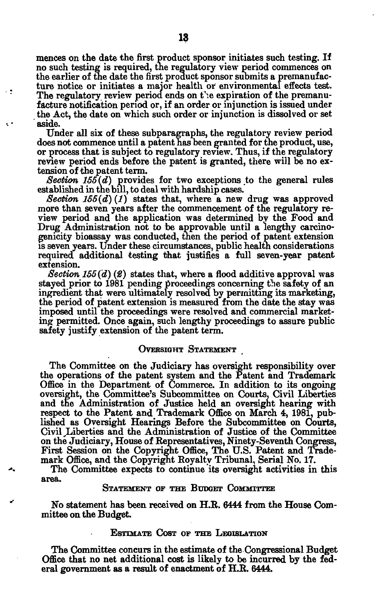mences on the date the first product sponsor initiates such testing. If no such testing is required, the regulatory view period commences on the earlier of the date the first product sponsor submits a premanufacture notice or initiates a major health or environmental effects test. The regulatory review period ends on the expiration of the premanufacture notification period or, if an order or injunction is issued under the Act, the date on which such order or injunction is dissolved or set aside.

εē

Under all six of these subparagraphs, the regulatory review period does not commence until a patent has Deen granted for the product, use, or process that is subject to regulatory review. Thus, if the regulatory review period ends before the patent is granted, there will be no extension of the patent term.

*Section 155(d)* provides for two exceptions to the general rules established in the bill, to deal with hardship cases.

Section  $155(d)(1)$  states that, where a new drug was approved more than seven years after the commencement of the regulatory review period and the application was determined by the Food and Drug Administration not to be approvable until a lengthy carcinogenicity bioassay was conducted, then the period of patent extension is seven years. Under these circumstances, public health considerations required additional testing that justifies a full seven-year patent extension.

*Section 155(d) (£)* states that, where a flood additive approval was stayed prior to 1981 pending proceedings concerning the safety of an ingredient that were ultimately resolved by permitting its marketing, the period of patent extension is measured from the date the stay was imposed until the proceedings were resolved and commercial marketing permitted. Once again, such lengthy proceedings to assure public safety justify extension of the patent term.

#### OVERSIGHT STATEMENT

The Committee on the Judiciary has oversight responsibility over the operations of the patent system and the Patent and Trademark Office in the Department of Commerce. In addition to its ongoing oversight, the Committee's Subcommittee on Courts, Civil Liberties and the Administration of Justice held an oversight hearing with respect to the Patent and Trademark Office on March 4, 1981, published as Oversight Hearings Before the Subcommittee on Courts, Civil,Liberties and the Administration of Justice of the Committee on the Judiciary, House of Representatives, Ninety-Seventh Congress, First Session on the Copyright Office, The U.S. Patent and Trademark Office, and the Copyright Royalty Tribunal, Serial No. 17.

The Committee expects to continue its oversight activities in this area.

### STATEMENT OF THE BUDGET COMMITTEE

No statement has been received on H.R. 6444 from the House Committee on the Budget.

#### ESTIMATE COST OF THE LEGISLATION

The Committee concurs in the estimate of the Congressional Budget Office that no net additional cost is likely to be incurred by the federal government as a result of enactment of H.R. 6444.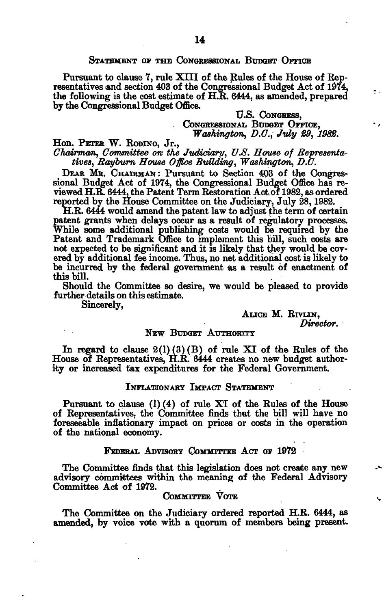## STATEMENT OF THE CONGRESSIONAL BUDGET OFFICE

Pursuant to clause 7, rule XIII of the Rules of the House of Representatives and section 403 of the Congressional Budget Act of 1974, the following is the cost estimate of  $H.R. 6444$ , as amended, prepared by the Congressional Budget Office.

> U.S. CONGRESS, CONGRESSIONAL BUDGET OFFICE, *Washington, D.C., July 29, 1982.*

٠.

Hon. PETER W. RODINO, Jr.,

*Chairman, Committee on the Jvdiciary, V.S. House of Representatives, Rayburn House Office Building, Washington, D.U.* 

DEAR MR. CHAIRMAN : Pursuant to Section 403 of the Congressional Budget Act of 1974, the Congressional Budget Office has reviewed H.R. 6444, the Patent Term Restoration Act. of 1982, as ordered reported by the House Committee on the Judiciary, July 28,1982.

H.R. 6444 would amend the patent law to adjust the term of certain patent grants when delays occur as a result of regulatory processes. While some additional publishing costs would be required by the Patent and Trademark Office to implement this bill, such costs are not expected to be significant and it is likely that they would be covered by additional fee income. Thus, no net additional cost is likely to be incurred by the federal government as a result of enactment of this bill.

Should the Committee so desire, we would be pleased to provide further details on this estimate.

Sincerely,

## ALICE M. RTVLIN, *Director.*

## NEW BUDGET AUTHORITY

In regard to clause  $2(1)(3)(B)$  of rule XI of the Rules of the House of Representatives, H.R. 6444 creates no new budget authority or increased tax expenditures for the Federal Government.

## INFLATIONARY IMPACT STATEMENT

Pursuant to clause  $(1)(4)$  of rule XI of the Rules of the House of Representatives, the Committee finds that the bill will have no foreseeable inflationary impact on prices or costs in the operation of the national economy.

#### FEDERAL ADVISORY COMMITTEE ACT OF 1972

The Committee finds that this legislation does not create any new advisory committees within the meaning of the Federal Advisory Committee Act of 1972.

## COMMITTEE VOTE

The Committee on the Judiciary ordered reported H.R. 6444, as amended, by voice vote with a quorum of members being present.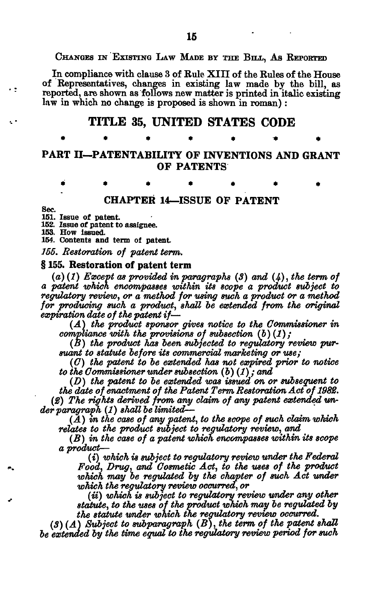## CHANGES IN EXISTING LAW MADE BY THE BILL, AS REPORTED

In compliance with clause 3 of Rule **XIII** of the Rules of the House of Representatives, changes in existing law made by the bill, as reported, are shown as follows new matter is printed in italic existing law in which no change is proposed is shown in roman) :

# **TITLE 35, UNITED STATES CODE**

## PART II—PATENTABILITY OF INVENTIONS AND GRANT OF PATENTS

**\*\*\*\*\*\* \*** 

\*\*\*\*\*\* \*

# **CHAPTER 14—ISSUE OF PATENT**

Sec.

151. Issue of patent.

152. Issue of patent to assignee.

153. How issued.

154. Contents and term ol patent *155. Restoration of patent term.* 

# **§ 155. Restoration of patent term**

*(a) (1) Except as provided in paragraphs (8) and (4), the term of a patent which encompasses within its scope a product subject to regulatory review, or a method for using such a product or a method for producing such a product, shall be extended from the original expiration date of the patent if*—

*(A) the product sponsor gives notice to the Commissioner in compliance with the provisions of subsection (b) (1);* 

*(B) the product has been subjected to regulatory review pursuant to statute before its commercial marketing or use;* 

*(C) the patent to be extended has not expired prior to notice to the Commissioner under subsection (b)(1); and* 

*(D) the patent to be extended was issued on or subsequent to the date of enactment of the Patent Term Restoration Act of 1982. (2) The rights derived from any claim of any patent extended under paragraph (1) shall be limited—-*

 $(A)$  in the case of any patent, to the scope of such claim which *relates to the product subject to regulatory review, and* 

*(B) in the case of a patent which encompasses within its scope a product*—

*(i) which is subject to regulatory review under the Federal Food, Drug, and Cosmetic Act, to the uses of the product*  which may be regulated by the chapter of such Act under *which the regulatory review occurred, or* 

*(ii) which is subject to regulatory review under any other statute, to the uses of the product which may be regulated by the statute under which the regulatory review occurred.* 

*(3) (A) Subject to subparagraph (B), the term of the patent shall be extended by the time equal to the regulatory review period for such*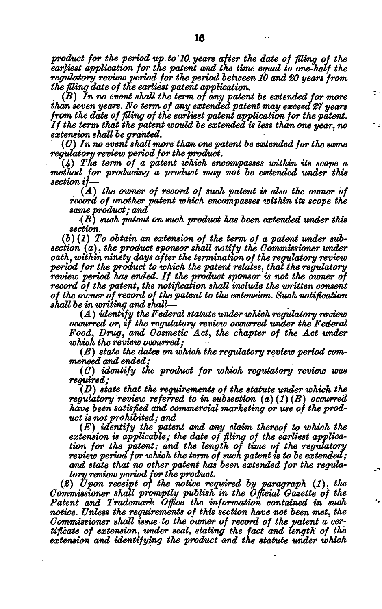*product for the period up to'10. years after the date of fling of the earliest application for the patent and the time equal to one-half the regulatory review period for the period between 10 and ISO years from the filing date of the earliest patent application.* 

 $\ddot{\phantom{1}}$  .

*(B) In no event shall the term of any patent be extended for more than seven years. No term of any extended patent may exceed 27 years from the date of filing of the earliest patent application for the patent. If the term that the patent would be extended is less than one year, no extension shall be granted.* 

*(C) In no event shall more than one patent be extended for the same regulatory review period for the product.* 

*(4) The term of a patent which encompasses within its scope a method for producing a product may not be extended under this section if*—

*(A) the owner of record of such patent is also the owner of record of another patent which encompasses within its scope the same product; and* 

*(B) such patent on such product has been extended under this section.* 

(6) *(1) To obtain an extension of the term of a patent under subsection (a)*, *the product sponsor shall notify the Commissioner under oath, within ninety days after the termination of the regulatory review period for the product to which the patent relates, that the regulatory review period has ended. If the product sponsor is not the owner of record of the patent, the notification shall include the written consent of the owner of record of the patent to the extension. Such notification shall be in writing and shall—* 

*(A) identify the Federal statute under which regulatory review occurred or, if the regulatory review occurred under the Federal Food, Drug, and Cosmetic Act, the chapter of the Act under which the review occurred;* 

*(B) state the dates on which the regulatory review period commenced and ended;* 

*(C) identify the product for which regulatory review was* 

*(D) state that the requirements of the statute under which the regulatory review referred to in subsection (a) (1) (B) occurred have been satisfied and commercial marketing or use of the product is not prohibited; and* 

*(E) identify the patent and any claim thereof to which the extension is applicable; the date of filing of the earliest application for the patent; and the length of time of the regulatory review period for which the term of such patent is to be extended; and state that no other patent has been extended for the regulatory review period for the product.* 

*(£) Upon receipt of the notice required by paragraph (1), the Commissioner shall promptly publish in the Official Gazette of the Patent and Trademark Office the information contained in such notice. Unless the requirements of this section have not been met, the Commissioner shall issue to the owner of record of the patent a certificate of extension, under seal, stating the fact and length of the extension and identifying the product and the statute under which*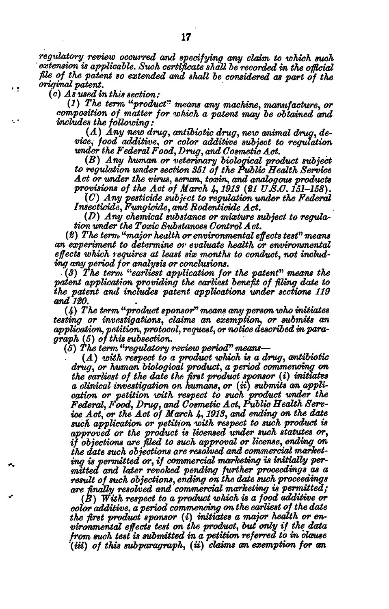*regulatory^ review occurred and specifying any claim to which such extension is applicable. Such certificate shall be recorded in the official file of the patent so extended and shall be considered as part of the original patent.* 

*(c) As used in this section:* 

 $\frac{1}{2}$ 

*(1) The term "product" means any machine, manufacture, or composition of matter for which a patent may be obtained and includes the following:* 

# (.4) *Any new drug, antibiotic drug, new animal drug, device, food additive, or color additive subject to regulation under the Federal Food, Drug, and Cosmetic Act.* 

(2?) *Any human or veterinary biological product subject to regulation under section 351 of the Public Health Service Act or under the virus, serum, toxin, and analogous products provisions of the Act of March 4,1913 (21 UJS.C. 151-158).* 

*(G) Any pesticide subject to regulation under the Federal Insecticide, Fungicide, and Rodentidde Act.* 

*(D) Any chemical substance or mixture subject to regulation under the Toxic Substances Control Act.* 

(2) The term "major health or environmental effects test" means *an experiment to determine, or evaluate health or environmental effects which requires at least six months to conduct, not including any period for analysis or conclusions.* 

*• (3) The term "earliest application for the patent" means the patent application providing the earliest benefit of filing date to the patent and includes patent applications under sections 119 and 120.* 

*(4) The term "product sponsor" means any person who initiates testing or investigations, claims an exemption, or submits an application, petition, protocol, request, ornotice described inparagraph* (5) *of this subsection.* 

*(5) The term "regulatory review period^'' means*—

*(A) with respect to a product which is a drug, antibiotic drug, or human biological product, a period commencing on the earliest of the date th& first product sponsor (i) initiates a clinical investigation on humans, or (u) submits an application or petition with respect to such product under the Federal, Food, Drug, and Cosmetic Act, Public Health Service Act, or the Act of March 1\*, 1913, and ending on the date such application or petition with respect to such product is approved or the product is licensed under such statutes or, if objections are filed to such approval or license, ending on the date such objections are resolved and commercial marketing is permitted or, if commercial marketing is initially permitted and later revoked pending further proceedings as a result of such objections, ending on the date such proceedings are finally resolved and commercial marketing is permitted;* 

*(B) With respect to a product which is a food additive or color additive, a period commencing on the earliest of the date the first product sponsor (i) initiates a major health or environmental effects test on the product, but only if the data from such test is submitted in a petition referred to in clause*  (m) *of this subparagraph, (ii) claims an exemption for an*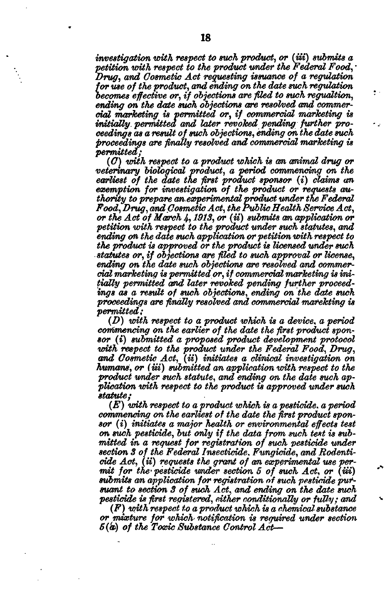*investigation with respect to such product, or (iii) submits a petition with respect to the product under the Federal Food, • Drug, and Cosmetic Act requesting issuance of a regulation for use of the product, and ending on the date such regulation becomes effective or, if objections are fled to such regualtion, ending on the date such objections are resolved and commercial marketing is permitted or, if commercial marketing is initially, permitted and later revoked pending further proceedings as a result of such objections, ending on the date such proceedings are finally resolved and commercial marketing is permitted;* 

 $\bullet$  .

*(G) with respect to a product which is an animal drug or veterinary biological product, a period commencing on the earliest of the date the first product sponsor (i) claims an exemption for investigation of the product or requests authority to prepare on-experimental product under the Federal Food, Drug, and Cosmetic Act, the Public Health Service Act, or the Act of March 4,1913, or (ii) submits an application or petition with respect to the product under such statutes, and ending on the date such application or petition with respect to the product is approved or the product is licensed under such statutes or, if objections are filed to such approval or license, ending on the date such objections are resolved and commercial marketing is permitted or, if commercial marketing is initially permitted and later revoked pending further proceedings as a result of such objections, ending on the date such proceedings are finally resolved and commercial marekting is permitted;* 

*(D) with respect to a product which is a device, a period commencing on the earlier of the date the first product sponsor (i) submitted a proposed product development protocol with respect to the product under the Federal Food, Drug, and Cosmetic Act, (ii) initiates a clinical investigation on humans, or (iii) submitted an application with respect to the product under such statute, and ending on the date such application with respect to the product is approved under such statute;* 

*(E) with respect to a product, which is a pesticide, a period commencing on the earliest of the date the first product sponsor (i) initiate\* a major health or environmental effects test on such pesticide, but only if the data from such test is submitted in a request for registration of such pesticide under section 3 of the Federal Insecticide, Fungicide, and Rodenticide Act, (ii) requests the grant of an experimental use permit for the' pesticide under section 5 of such Act, or (ui) submits an application for registration of such pesticide pursuant to section 3 of such Act, and ending on the date such pesticide is first registered, either conditionally or fully; and* 

*(F) with respect to a product which is a chemical- substance or mixture for which- notification is required under section 5(a) of the Toxic Substance Control Act*—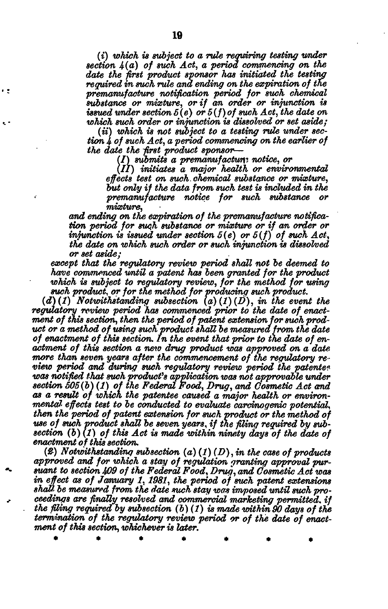*(i) which is subject to a rule requiring testing under section 4(a) of such Act, a period commencing on the date the first product sponsor has initiated the testing required in such rule and ending on the expiration of the premanufacture notification period for such chemical substance or mixture, or if an order or injunction is issued under section 5(e) or 5(f)of such Act, the date on which such order or injunction is dissolved or set aside;* 

*(ii) which is not subject to a testing rule under section 4 of such Act, a period commencing on the earlier of the date the first product sponsor*—

*I) submits a premawufactunz notice, or* 

*S II) initiates a major health or environmental effects test on such, chemical substance or mixture, but only if the data from such test is included in the premanufacture notice for such substance or mixture,* 

*and ending on the expiration of the premanufacture notification period for such substance or mixture or if an order or injunction is issued, under section 5(e) or 5(f) of such Act, the date on which such order or such injunction is dissolved or set aside;* 

*except that the regulatory review period shall not be deemed to have commenced until a patent has been granted for the product which is subject to regulatory review, for the method for using such product, or for the method for producing such product.* 

 $(d)(1)$  Notwithstanding subsection  $(a)(1)(D)$ , in the event the *regulatory review period has commenced prior to the date of enactment of this section, then the period of patent extension for such product or a method of using such product shall be measured from the date of enactment of this section. In the event that prior to the date of enactment of this section a new drug product was approved on a date more than seven years after the commencement of the regulatory review period and during such regulatory review period the patenteewas notified that such product's application was not approvable under section 505(b) (1) of the Federal Food, Drug, and Cosmetic Act and as a result of which the patentee caused a major health or environmental- effects test to be conducted to evaluate carcinogenic potential, then the period of patent extension for such product or the method of use of such product shall be seven years, if the filing required by subsection (b) (1) of this Act is made within ninety days of the date of enactment of this section.* 

*(S) Notwithstanding subsection (a) (1) (D), in the case of products approved and for which a stay of regulation granting approval pursuant to section 409 of the Federal Food, Drug, and Cosmetic Act was in effect as of January 1,1981, the period of such patent extensions shaV. be measured from the date such stay was imposed until such proceedings are finally resolved and commercial marketing permitted, if the filing required by subsection* (6) *(1) is made within 90 days of the termination of the regulatory review period or of the date of enactment of this section, whichever is later.* 

\*\*\*\*\*\* \*

, <u>.</u>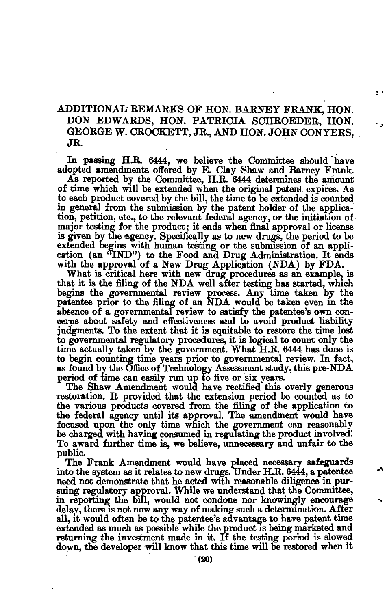## ADDITIONAL REMARKS OF HON. BARNEY FRANK, HON. DON EDWARDS, HON. PATRICIA SCHROEDER, HON. GEORGE W. CROCKETT, JR., AND HON. JOHN CONYERS, JR.

24

In passing H.R. 6444, we believe the Committee should have adopted amendments offered by E. Clay Shaw and Barney Frank.

As reported by the Committee, H.R. 6444 determines the amount of time which will be extended when the original patent expires. As to each product covered by the bill, the time to be extended is counted in genera] from the submission by the patent holder of the application, petition, etc., to the relevant federal agency, or the initiation of major testing for the product; it ends when final approval or license is given by the agency. Specifically as to new drugs, the period to be extended begins with human testing or the submission of an application (an "IND") to the Food and Drug Administration. It ends with the approval of a New Drug Application (NDA) by FDA.

What is critical here with new drug procedures as an example, is that it is the filing of the NDA well after testing has started, which begins the governmental review process. Any time taken by the patentee prior to the filing of an NDA would be taken even in the absence of a governmental review to satisfy the patentee's own concerns about safety and effectiveness and to avoid product liability judgments. To the extent that it is equitable to restore the time lost to governmental regulatory procedures, it is logical to count only the time actually taken by the government. What H.R. 6444 has done is to begin counting time years prior to governmental review. In fact, as found by the Office of Technology Assessment study, this pre-NDA period of time can easily run up to five or six years.

The Shaw Amendment would have rectified this overly generous restoration. It provided that the extension period be counted as to the various products covered from the filing of the application to the federal agency until its approval. The amendment would have focused upon the only time which the government can reasonably be charged with having consumed in regulating the product involved; To award further time is, we believe, unnecessary and unfair to the public.

The Frank Amendment would have placed necessary safeguards into the system as it relates to new drugs. Under H.R. 6444, a patentee need not demonstrate that he acted with reasonable diligence in pursuing regulatory approval. While we understand that the Committee, in reporting the bill, would not condone nor knowingly encourage delay, there is not now any way of making such a determination. After all, it would often be to the patentee's advantage to have patent time extended as much as possible while the product is being marketed and returning the investment made in it. If the testing period is slowed down, the developer will know that this time will be restored when it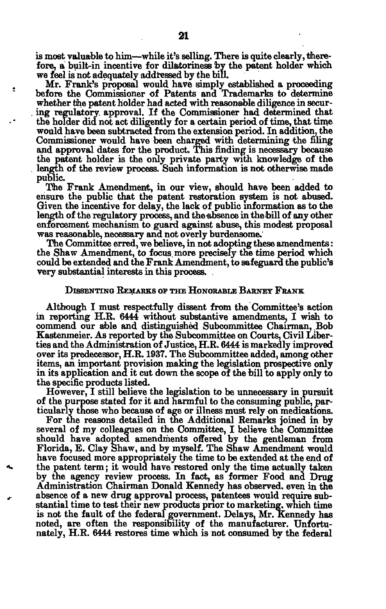is most valuable to him—while it's selling. There is quite clearly, therefore, a built-in incentive for dilatoriness by the patent holder which we feel is not adequately addressed by the bill.

 $\bullet$ 

Mr. Frank's proposal would have simply established a proceeding before the Commissioner of Patents and Trademarks to determine whether the patent holder had acted with reasonable diligence in secur- . ing regulatory, approval. If the Commissioner had determined that the holder did not act diligently for a certain period of time, that time would have been subtracted from the extension period. In addition, the Commissioner would have been charged with determining the filing and approval dates for the product. This finding is necessary because the patent holder is the only private party with knowledge of the length of the review process. Such information is not otherwise made public.

The Frank Amendment, in our view, should have been added to ensure the public that the patent restoration system is not abused. Given the incentive for delay, the lack of public information as to the length of the regulatory process, and the absence in the bill of any other enforcement mechanism to guard against abuse, this modest proposal was reasonable, necessary and not overly burdensome.'

The Committee erred, we believe, in not adopting these amendments: the Shaw Amendment, to focus, more precisely the time period which could be extended and the Frank Amendment, to safeguard the public's very substantial interests in this process. .

## DISSENTING REMARKS OF THE HONORABLE BARNEY FRANK

Although I must respectfully dissent from the Committee's action in reporting H.R. 6444 without substantive amendments, I wish to commend our able and distinguished Subcommittee Chairman, Bob Kastenmeier. As reported by the Subcommittee on Courts, Civil Liberties and the Administration of Justice, H.R. 6444 is markedly improved over its predecessor, H.R. 1937. The Subcommittee added, among other items, an important provision making the legislation prospective only in its application and it cut down the scope of the bill to apply only to the specific products listed.

However, I still believe the legislation to be unnecessary in pursuit of the purpose stated for it and harmful to the consuming public, particularly those who because of age or illness must rely on medications.

For the reasons detailed in the Additional Remarks joined in by several of my colleagues on the Committee, I believe the Committee should have adopted amendments offered by the gentleman from Florida, E. Clay Shaw, and by myself. The Shaw Amendment would have focused more appropriately the time to be extended at the end of the patent term; it would have restored only the time actually taken by the agency review process. In fact, as former Food and Drug Administration Chairman Donald Kennedy has observed, even in the *+* absence of a new drug approval process, patentees would require substantial time to test their new products prior to marketing, which time is not the fault of the federal government. Delays, Mr. Kennedy has noted, are often the responsibility of the manufacturer. Unfortunately, H.R. 6444 restores time which is not consumed by the federal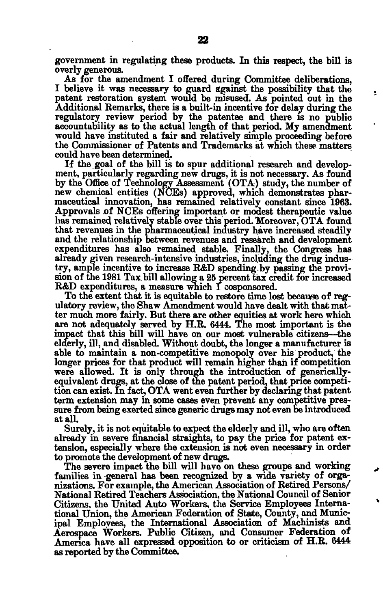government in regulating these products. In this respect, the bill is overly generous.

As for the amendment I offered during Committee deliberations, I believe it was necessary to guard against the possibility that the patent restoration system would be misused. As pointed out in the Additional Remarks, there is a built-in incentive for delay during the regulatory review period by the patentee and there is no public accountability as to the actual length of that period. My amendment would have instituted a fair and relatively simple proceeding before the Commissioner of Patents and Trademarks at which these matters could have been determined.

÷

If the goal of the bill is to spur additional research and development, particularly regarding new drugs, it is not necessary. As found by the Office of Technology Assessment (OTA) study, the number of new chemical entities (NCEs) approved, which demonstrates pharmaceutical innovation, has remained relatively constant since 1963. Approvals of NCEs offering important or modest therapeutic value has remained relatively stable over this period. Moreover, OTA found that revenues in the pharmaceutical industry have increased steadily and the relationship between revenues and research and development expenditures has also remained stable. Finally, the Congress has already given research-intensive industries, including the drug industry, ample incentive to increase R&D spending-by passing the provision of the 1981 Tax. bill allowing a 25 percent tax credit for increased R&D expenditures, a measure which I cosponsored.

To the extent that it is equitable to restore time lost because of regulatory review, the Shaw Amendment would have dealt with that matter much more fairly. But there are other equities at work hero which are not adequately served by H.R. 6444. The most important is the impact that this bill will have on our most vulnerable citizens—the elderly, ill, and disabled. Without doubt, the longer a manufacturer is able to maintain a non-competitive monopoly over his product, the longer prices for that product will remain higher than if competition were allowed. It is only through the introduction of genericallvequivalent drugs, at the close of the patent period, that price competition can exist. In fact, OTA went even further by declaring that patent term extension may in some cases even prevent any competitive pressure from being exerted since generic drugs may not even be introduced at all.

Surely, it is not equitable to expect the elderly and ill, who are often already in severe financial straights, to pay the price for patent extension, especially where the extension is not even necessary in order to promote the development of new drugs.

The severe impact the bill will have on these groups and working families in general has been recognized by a wide variety of organizations. For example, the American Association of Retired Persons/ National Retired Teachers Association, the National Council of Senior Citizens, the United Auto Workers, the Service Employees International Union, the American Federation of State, County, and Municipal Employees, the International Association of Machinists and Aerospace Workers. Public Citizen, and Consumer Federation of America have all expressed opposition to or criticism of H.R. 6444 as reported by the Committee.